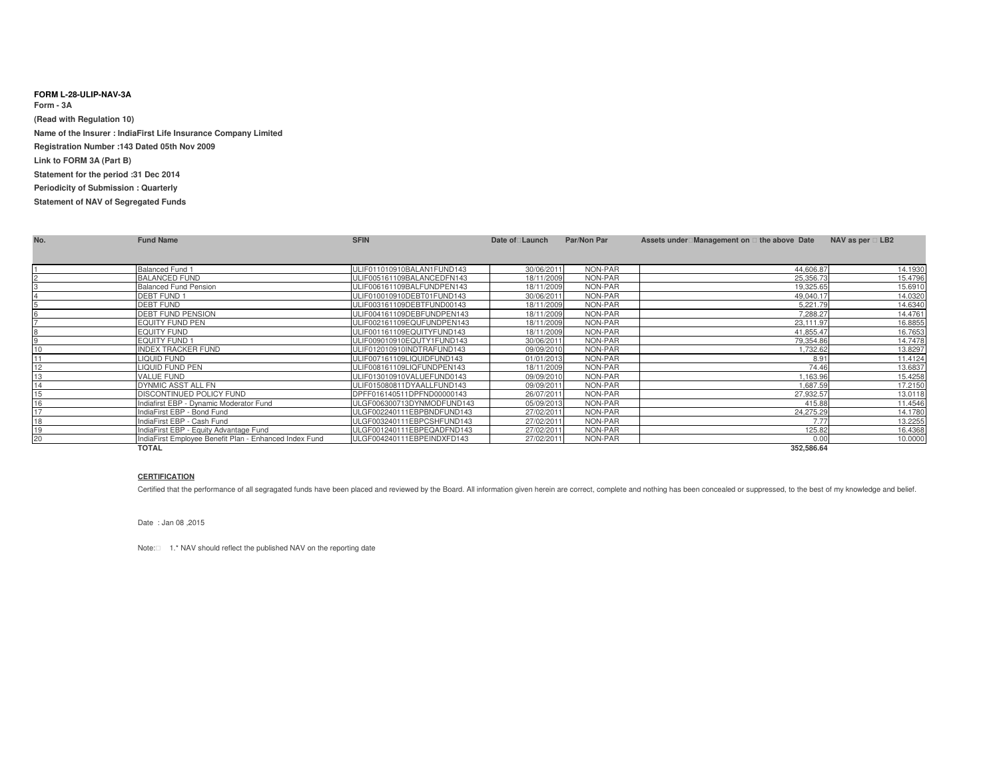## **FORM L-28-ULIP-NAV-3AForm - 3A (Read with Regulation 10)Name of the Insurer : IndiaFirst Life Insurance Company LimitedRegistration Number :143 Dated 05th Nov 2009Link to FORM 3A (Part B)Statement for the period :31 Dec 2014 Periodicity of Submission : QuarterlyStatement of NAV of Segregated Funds**

| No. | <b>Fund Name</b>                                       | <b>SFIN</b>                | Date of Launch | Par/Non Par | Assets under Management on the above Date |            | NAV as per LB2 |         |
|-----|--------------------------------------------------------|----------------------------|----------------|-------------|-------------------------------------------|------------|----------------|---------|
|     |                                                        |                            |                |             |                                           |            |                |         |
|     |                                                        |                            |                |             |                                           |            |                |         |
|     | <b>Balanced Fund 1</b>                                 | ULIF011010910BALAN1FUND143 | 30/06/2011     | NON-PAR     |                                           | 44,606.87  |                | 14.1930 |
|     | <b>BALANCED FUND</b>                                   | ULIF005161109BALANCEDFN143 | 18/11/2009     | NON-PAR     |                                           | 25,356.73  |                | 15.4796 |
|     | <b>Balanced Fund Pension</b>                           | ULIF006161109BALFUNDPEN143 | 18/11/2009     | NON-PAR     |                                           | 19,325.65  |                | 15.6910 |
|     | <b>DEBT FUND 1</b>                                     | ULIF010010910DEBT01FUND143 | 30/06/2011     | NON-PAR     |                                           | 49,040.17  |                | 14.0320 |
|     | <b>DEBT FUND</b>                                       | ULIF003161109DEBTFUND00143 | 18/11/2009     | NON-PAR     |                                           | 5,221.79   |                | 14.6340 |
|     | <b>DEBT FUND PENSION</b>                               | ULIF004161109DEBFUNDPEN143 | 18/11/2009     | NON-PAR     |                                           | 7.288.27   |                | 14.4761 |
|     | <b>EQUITY FUND PEN</b>                                 | ULIF002161109EQUFUNDPEN143 | 18/11/2009     | NON-PAR     |                                           | 23,111.97  |                | 16.8855 |
|     | <b>EQUITY FUND</b>                                     | ULIF001161109EQUITYFUND143 | 18/11/2009     | NON-PAR     |                                           | 41.855.47  |                | 16.7653 |
|     | <b>EQUITY FUND 1</b>                                   | ULIF009010910EQUTY1FUND143 | 30/06/2011     | NON-PAR     |                                           | 79.354.86  |                | 14.7478 |
|     | <b>INDEX TRACKER FUND</b>                              | ULIF012010910INDTRAFUND143 | 09/09/2010     | NON-PAR     |                                           | 1.732.62   |                | 13.8297 |
|     | <b>LIQUID FUND</b>                                     | ULIF007161109LIQUIDFUND143 | 01/01/2013     | NON-PAR     |                                           | 8.91       |                | 11.4124 |
| 12  | LIQUID FUND PEN                                        | ULIF008161109LIQFUNDPEN143 | 18/11/2009     | NON-PAR     |                                           | 74.46      |                | 13.6837 |
| 13  | <b>VALUE FUND</b>                                      | ULIF013010910VALUEFUND0143 | 09/09/2010     | NON-PAR     |                                           | 1.163.96   |                | 15.4258 |
| 14  | DYNMIC ASST ALL FN                                     | ULIF015080811DYAALLFUND143 | 09/09/2011     | NON-PAR     |                                           | 1.687.59   |                | 17.2150 |
|     | <b>DISCONTINUED POLICY FUND</b>                        | DPFF016140511DPFND00000143 | 26/07/2011     | NON-PAR     |                                           | 27.932.57  |                | 13.0118 |
|     | Indiafirst EBP - Dynamic Moderator Fund                | ULGF006300713DYNMODFUND143 | 05/09/2013     | NON-PAR     |                                           | 415.88     |                | 11.4546 |
|     | IndiaFirst EBP - Bond Fund                             | ULGF002240111EBPBNDFUND143 | 27/02/2011     | NON-PAR     |                                           | 24,275.29  |                | 14.1780 |
|     | IndiaFirst EBP - Cash Fund                             | ULGF003240111EBPCSHFUND143 | 27/02/2011     | NON-PAR     |                                           | 7.77       |                | 13.2255 |
|     | IndiaFirst EBP - Equity Advantage Fund                 | ULGF001240111EBPEQADFND143 | 27/02/2011     | NON-PAR     |                                           | 125.82     |                | 16.4368 |
| 20  | IndiaFirst Employee Benefit Plan - Enhanced Index Fund | ULGF004240111EBPEINDXFD143 | 27/02/2011     | NON-PAR     |                                           | 0.00       |                | 10.0000 |
|     | <b>TOTAL</b>                                           |                            |                |             |                                           | 352,586.64 |                |         |

## **CERTIFICATION**

Certified that the performance of all segragated funds have been placed and reviewed by the Board. All information given herein are correct, complete and nothing has been concealed or suppressed, to the best of my knowledg

Date : Jan 08 ,2015

Note: 1.\* NAV should reflect the published NAV on the reporting date